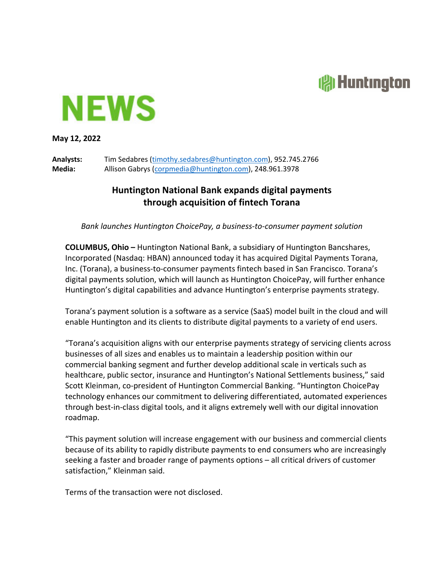## **All Huntington**



**May 12, 2022**

**Analysts:** Tim Sedabres (timothy.sedabres@huntington.com), 952.745.2766 **Media:** Allison Gabrys (corpmedia@huntington.com), 248.961.3978

## **Huntington National Bank expands digital payments through acquisition of fintech Torana**

*Bank launches Huntington ChoicePay, a business‐to‐consumer payment solution*

**COLUMBUS, Ohio –** Huntington National Bank, a subsidiary of Huntington Bancshares, Incorporated (Nasdaq: HBAN) announced today it has acquired Digital Payments Torana, Inc. (Torana), a business‐to‐consumer payments fintech based in San Francisco. Torana's digital payments solution, which will launch as Huntington ChoicePay, will further enhance Huntington's digital capabilities and advance Huntington's enterprise payments strategy.

Torana's payment solution is a software as a service (SaaS) model built in the cloud and will enable Huntington and its clients to distribute digital payments to a variety of end users.

"Torana's acquisition aligns with our enterprise payments strategy of servicing clients across businesses of all sizes and enables us to maintain a leadership position within our commercial banking segment and further develop additional scale in verticals such as healthcare, public sector, insurance and Huntington's National Settlements business," said Scott Kleinman, co‐president of Huntington Commercial Banking. "Huntington ChoicePay technology enhances our commitment to delivering differentiated, automated experiences through best‐in‐class digital tools, and it aligns extremely well with our digital innovation roadmap.

"This payment solution will increase engagement with our business and commercial clients because of its ability to rapidly distribute payments to end consumers who are increasingly seeking a faster and broader range of payments options – all critical drivers of customer satisfaction," Kleinman said.

Terms of the transaction were not disclosed.